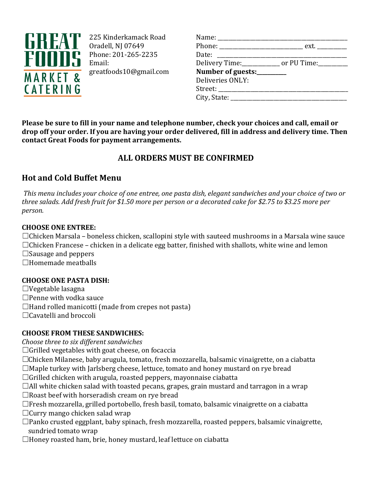

225 Kinderkamack Road Oradell, NJ 07649 Phone: 201-265-2235 Email: greatfoods10@gmail.com

| Name: _________________          |                                                           |
|----------------------------------|-----------------------------------------------------------|
|                                  | Phone: _________________________________ ext. ___________ |
| Date: ____________________       |                                                           |
|                                  | Delivery Time:_____________ or PU Time:_________          |
| Number of guests:________        |                                                           |
| Deliveries ONLY:                 |                                                           |
| Street: ________________________ |                                                           |
| City, State: $\qquad \qquad$     |                                                           |
|                                  |                                                           |

**Please be sure to fill in your name and telephone number, check your choices and call, email or drop off your order. If you are having your order delivered, fill in address and delivery time. Then contact Great Foods for payment arrangements.**

# **ALL ORDERS MUST BE CONFIRMED**

## **Hot and Cold Buffet Menu**

*This menu includes your choice of one entree, one pasta dish, elegant sandwiches and your choice of two or three salads. Add fresh fruit for \$1.50 more per person or a decorated cake for \$2.75 to \$3.25 more per person.*

### **CHOOSE ONE ENTREE:**

 $\Box$ Chicken Marsala – boneless chicken, scallopini style with sauteed mushrooms in a Marsala wine sauce  $\Box$ Chicken Francese – chicken in a delicate egg batter, finished with shallots, white wine and lemon  $\Box$ Sausage and peppers ☐Homemade meatballs

### **CHOOSE ONE PASTA DISH:**

 $\Box$ Vegetable lasagna

□Penne with vodka sauce

 $\Box$ Hand rolled manicotti (made from crepes not pasta)

☐Cavatelli and broccoli

### **CHOOSE FROM THESE SANDWICHES:**

*Choose three to six different sandwiches*

 $\Box$ Grilled vegetables with goat cheese, on focaccia

- ☐Chicken Milanese, baby arugula, tomato, fresh mozzarella, balsamic vinaigrette, on a ciabatta
- $\Box$ Maple turkey with Jarlsberg cheese, lettuce, tomato and honey mustard on rye bread
- $\Box$ Grilled chicken with arugula, roasted peppers, mayonnaise ciabatta
- $\Box$ All white chicken salad with toasted pecans, grapes, grain mustard and tarragon in a wrap
- ☐Roast beef with horseradish cream on rye bread
- ☐Fresh mozzarella, grilled portobello, fresh basil, tomato, balsamic vinaigrette on a ciabatta
- ☐Curry mango chicken salad wrap
- $\Box$ Panko crusted eggplant, baby spinach, fresh mozzarella, roasted peppers, balsamic vinaigrette, sundried tomato wrap
- ☐Honey roasted ham, brie, honey mustard, leaf lettuce on ciabatta